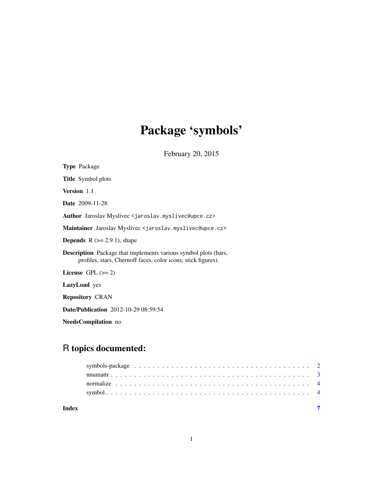# Package 'symbols'

February 20, 2015

| <b>Type</b> Package                                                                                                                     |
|-----------------------------------------------------------------------------------------------------------------------------------------|
| <b>Title</b> Symbol plots                                                                                                               |
| Version 1.1                                                                                                                             |
| <b>Date</b> 2009-11-28                                                                                                                  |
| Author Jaroslav Myslivec <jaroslav.myslivec@upce.cz></jaroslav.myslivec@upce.cz>                                                        |
| Maintainer Jaroslav Myslivec < jaroslav.myslivec@upce.cz>                                                                               |
| <b>Depends</b> $R (= 2.9.1)$ , shape                                                                                                    |
| <b>Description</b> Package that implements various symbol plots (bars,<br>profiles, stars, Chernoff faces, color icons, stick figures). |
| License $GPL (= 2)$                                                                                                                     |
| <b>LazyLoad</b> yes                                                                                                                     |
| <b>Repository CRAN</b>                                                                                                                  |
| <b>Date/Publication</b> 2012-10-29 08:59:54                                                                                             |

NeedsCompilation no

# R topics documented:

| Index |  |
|-------|--|
|       |  |
|       |  |
|       |  |
|       |  |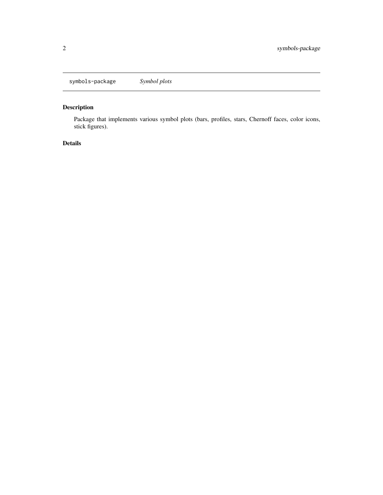<span id="page-1-0"></span>symbols-package *Symbol plots*

# Description

Package that implements various symbol plots (bars, profiles, stars, Chernoff faces, color icons, stick figures).

# Details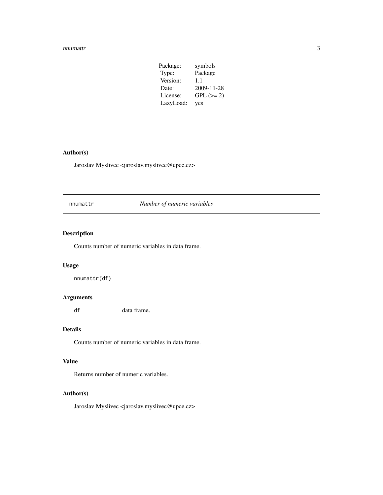#### <span id="page-2-0"></span>nnumattr 3

| Package:  | symbols     |
|-----------|-------------|
| Type:     | Package     |
| Version:  | 1.1         |
| Date:     | 2009-11-28  |
| License:  | $GPL (= 2)$ |
| LazyLoad: | yes         |

# Author(s)

Jaroslav Myslivec <jaroslav.myslivec@upce.cz>

nnumattr *Number of numeric variables*

# Description

Counts number of numeric variables in data frame.

#### Usage

nnumattr(df)

#### Arguments

df data frame.

## Details

Counts number of numeric variables in data frame.

## Value

Returns number of numeric variables.

#### Author(s)

Jaroslav Myslivec <jaroslav.myslivec@upce.cz>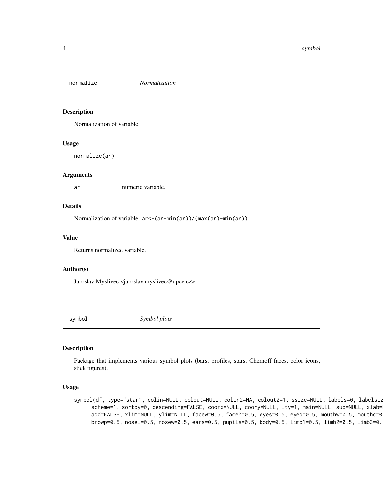<span id="page-3-0"></span>

#### Description

Normalization of variable.

#### Usage

normalize(ar)

#### Arguments

ar numeric variable.

#### Details

Normalization of variable: ar<-(ar-min(ar))/(max(ar)-min(ar))

#### Value

Returns normalized variable.

#### Author(s)

Jaroslav Myslivec <jaroslav.myslivec@upce.cz>

symbol *Symbol plots*

#### Description

Package that implements various symbol plots (bars, profiles, stars, Chernoff faces, color icons, stick figures).

#### Usage

```
symbol(df, type="star", colin=NULL, colout=NULL, colin2=NA, colout2=1, ssize=NULL, labels=0, labelsiz
     scheme=1, sortby=0, descending=FALSE, coorx=NULL, coory=NULL, lty=1, main=NULL, sub=NULL, xlab=
     add=FALSE, xlim=NULL, ylim=NULL, facew=0.5, faceh=0.5, eyes=0.5, eyed=0.5, mouthw=0.5, mouthc=0
     browp=0.5, nosel=0.5, nosew=0.5, ears=0.5, pupils=0.5, body=0.5, limb1=0.5, limb2=0.5, limb3=0.
```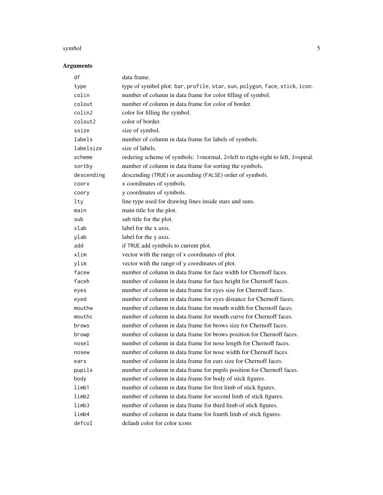#### symbol 5

# Arguments

| df         | data frame.                                                                    |
|------------|--------------------------------------------------------------------------------|
| type       | type of symbol plot: bar, profile, star, sun, polygon, face, stick, icon.      |
| colin      | number of column in data frame for color filling of symbol.                    |
| colout     | number of column in data frame for color of border.                            |
| colin2     | color for filling the symbol.                                                  |
| colout2    | color of border.                                                               |
| ssize      | size of symbol.                                                                |
| labels     | number of column in data frame for labels of symbols.                          |
| labelsize  | size of labels.                                                                |
| scheme     | ordering scheme of symbols: 1=normal, 2=left to right-right to left, 3=spiral. |
| sortby     | number of column in data frame for sorting the symbols.                        |
| descending | descending (TRUE) or ascending (FALSE) order of symbols.                       |
| coorx      | x coordinates of symbols.                                                      |
| coory      | y coordinates of symbols.                                                      |
| lty        | line type used for drawing lines inside stars and suns.                        |
| main       | main title for the plot.                                                       |
| sub        | sub title for the plot.                                                        |
| xlab       | label for the x axis.                                                          |
| ylab       | label for the y axis.                                                          |
| add        | if TRUE add symbols to current plot.                                           |
| xlim       | vector with the range of x coordinates of plot.                                |
| ylim       | vector with the range of y coordinates of plot.                                |
| facew      | number of column in data frame for face width for Chernoff faces.              |
| faceh      | number of column in data frame for face height for Chernoff faces.             |
| eyes       | number of column in data frame for eyes size for Chernoff faces.               |
| eyed       | number of column in data frame for eyes distance for Chernoff faces.           |
| mouthw     | number of column in data frame for mouth width for Chernoff faces.             |
| mouthc     | number of column in data frame for mouth curve for Chernoff faces.             |
| brows      | number of column in data frame for brows size for Chernoff faces.              |
| browp      | number of column in data frame for brows position for Chernoff faces.          |
| nosel      | number of column in data frame for nose length for Chernoff faces.             |
| nosew      | number of column in data frame for nose width for Chernoff faces.              |
| ears       | number of column in data frame for ears size for Chernoff faces.               |
| pupils     | number of column in data frame for pupils position for Chernoff faces.         |
| body       | number of column in data frame for body of stick figures.                      |
| limb1      | number of column in data frame for first limb of stick figures.                |
| limb2      | number of column in data frame for second limb of stick figures.               |
| limb3      | number of column in data frame for third limb of stick figures.                |
| limb4      | number of column in data frame for fourth limb of stick figures.               |
| defcol     | default color for color icons                                                  |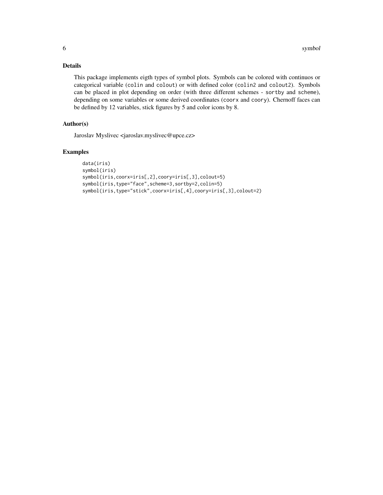# Details

This package implements eigth types of symbol plots. Symbols can be colored with continuos or categorical variable (colin and colout) or with defined color (colin2 and colout2). Symbols can be placed in plot depending on order (with three different schemes - sortby and scheme), depending on some variables or some derived coordinates (coorx and coory). Chernoff faces can be defined by 12 variables, stick figures by 5 and color icons by 8.

## Author(s)

Jaroslav Myslivec <jaroslav.myslivec@upce.cz>

#### Examples

```
data(iris)
symbol(iris)
symbol(iris,coorx=iris[,2],coory=iris[,3],colout=5)
symbol(iris,type="face",scheme=3,sortby=2,colin=5)
symbol(iris,type="stick",coorx=iris[,4],coory=iris[,3],colout=2)
```